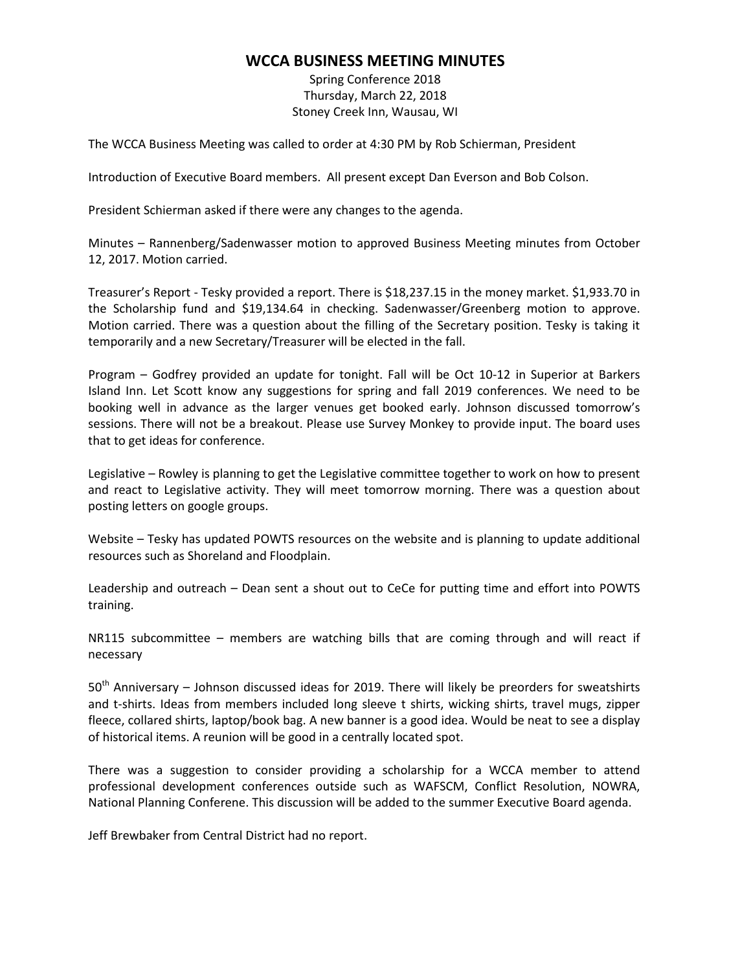## **WCCA BUSINESS MEETING MINUTES**

Spring Conference 2018 Thursday, March 22, 2018 Stoney Creek Inn, Wausau, WI

The WCCA Business Meeting was called to order at 4:30 PM by Rob Schierman, President

Introduction of Executive Board members. All present except Dan Everson and Bob Colson.

President Schierman asked if there were any changes to the agenda.

Minutes – Rannenberg/Sadenwasser motion to approved Business Meeting minutes from October 12, 2017. Motion carried.

Treasurer's Report - Tesky provided a report. There is \$18,237.15 in the money market. \$1,933.70 in the Scholarship fund and \$19,134.64 in checking. Sadenwasser/Greenberg motion to approve. Motion carried. There was a question about the filling of the Secretary position. Tesky is taking it temporarily and a new Secretary/Treasurer will be elected in the fall.

Program – Godfrey provided an update for tonight. Fall will be Oct 10-12 in Superior at Barkers Island Inn. Let Scott know any suggestions for spring and fall 2019 conferences. We need to be booking well in advance as the larger venues get booked early. Johnson discussed tomorrow's sessions. There will not be a breakout. Please use Survey Monkey to provide input. The board uses that to get ideas for conference.

Legislative – Rowley is planning to get the Legislative committee together to work on how to present and react to Legislative activity. They will meet tomorrow morning. There was a question about posting letters on google groups.

Website – Tesky has updated POWTS resources on the website and is planning to update additional resources such as Shoreland and Floodplain.

Leadership and outreach – Dean sent a shout out to CeCe for putting time and effort into POWTS training.

NR115 subcommittee – members are watching bills that are coming through and will react if necessary

 $50<sup>th</sup>$  Anniversary – Johnson discussed ideas for 2019. There will likely be preorders for sweatshirts and t-shirts. Ideas from members included long sleeve t shirts, wicking shirts, travel mugs, zipper fleece, collared shirts, laptop/book bag. A new banner is a good idea. Would be neat to see a display of historical items. A reunion will be good in a centrally located spot.

There was a suggestion to consider providing a scholarship for a WCCA member to attend professional development conferences outside such as WAFSCM, Conflict Resolution, NOWRA, National Planning Conferene. This discussion will be added to the summer Executive Board agenda.

Jeff Brewbaker from Central District had no report.